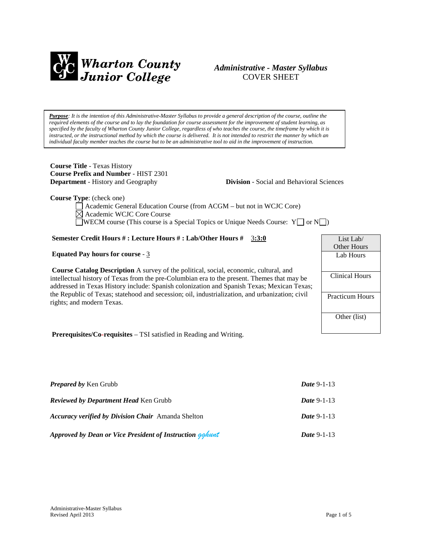

## *Administrative - Master Syllabus*  COVER SHEET

*Purpose: It is the intention of this Administrative-Master Syllabus to provide a general description of the course, outline the required elements of the course and to lay the foundation for course assessment for the improvement of student learning, as specified by the faculty of Wharton County Junior College, regardless of who teaches the course, the timeframe by which it is instructed, or the instructional method by which the course is delivered. It is not intended to restrict the manner by which an individual faculty member teaches the course but to be an administrative tool to aid in the improvement of instruction.*

**Course Title** - Texas History **Course Prefix and Number** - HIST 2301

**Department** - History and Geography **Division** - Social and Behavioral Sciences

**Course Type**: (check one)

Academic General Education Course (from ACGM – but not in WCJC Core) Academic WCJC Core Course WECM course (This course is a Special Topics or Unique Needs Course:  $Y \cup \sigma N \cup$ )

#### **Semester Credit Hours # : Lecture Hours # : Lab/Other Hours #** 3**:3:0**

#### **Equated Pay hours for course** - 3

**Course Catalog Description** A survey of the political, social, economic, cultural, and intellectual history of Texas from the pre-Columbian era to the present. Themes that may be addressed in Texas History include: Spanish colonization and Spanish Texas; Mexican Texas; the Republic of Texas; statehood and secession; oil, industrialization, and urbanization; civil rights; and modern Texas.

List Lab/ Other Hours Lab Hours Clinical Hours Practicum Hours Other (list)

**Prerequisites/Co-requisites** – TSI satisfied in Reading and Writing.

| <b>Prepared by Ken Grubb</b>                              | <i>Date</i> 9-1-13 |  |
|-----------------------------------------------------------|--------------------|--|
| <b>Reviewed by Department Head Ken Grubb</b>              | <i>Date</i> 9-1-13 |  |
| <b>Accuracy verified by Division Chair</b> Amanda Shelton | <i>Date</i> 9-1-13 |  |
| Approved by Dean or Vice President of Instruction gahunt  | <i>Date</i> 9-1-13 |  |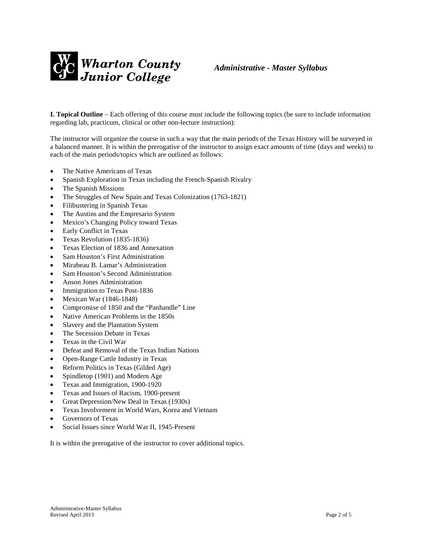

**I. Topical Outline** – Each offering of this course must include the following topics (be sure to include information regarding lab, practicum, clinical or other non-lecture instruction):

The instructor will organize the course in such a way that the main periods of the Texas History will be surveyed in a balanced manner. It is within the prerogative of the instructor to assign exact amounts of time (days and weeks) to each of the main periods/topics which are outlined as follows:

- The Native Americans of Texas
- Spanish Exploration in Texas including the French-Spanish Rivalry
- The Spanish Missions
- The Struggles of New Spain and Texas Colonization (1763-1821)
- Filibustering in Spanish Texas
- The Austins and the Empresario System
- Mexico's Changing Policy toward Texas
- Early Conflict in Texas
- Texas Revolution (1835-1836)
- Texas Election of 1836 and Annexation
- Sam Houston's First Administration
- Mirabeau B. Lamar's Administration
- Sam Houston's Second Administration
- Anson Jones Administration
- Immigration to Texas Post-1836
- Mexican War (1846-1848)
- Compromise of 1850 and the "Panhandle" Line
- Native American Problems in the 1850s
- Slavery and the Plantation System
- The Secession Debate in Texas
- Texas in the Civil War
- Defeat and Removal of the Texas Indian Nations
- Open-Range Cattle Industry in Texas
- Reform Politics in Texas (Gilded Age)
- Spindletop (1901) and Modern Age
- Texas and Immigration, 1900-1920
- Texas and Issues of Racism, 1900-present
- Great Depression/New Deal in Texas (1930s)
- Texas Involvement in World Wars, Korea and Vietnam
- Governors of Texas
- Social Issues since World War II, 1945-Present

It is within the prerogative of the instructor to cover additional topics.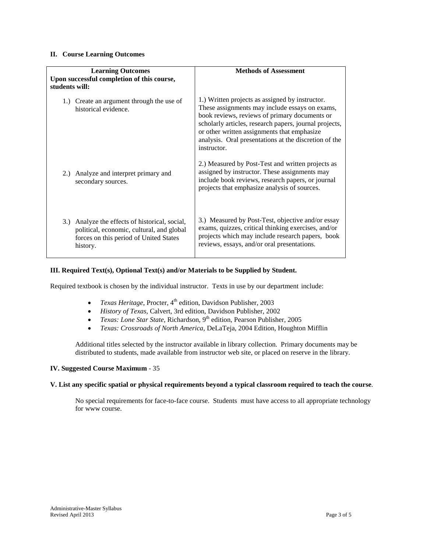#### **II. Course Learning Outcomes**

| <b>Learning Outcomes</b><br>Upon successful completion of this course,<br>students will:                                                          | <b>Methods of Assessment</b>                                                                                                                                                                                                                                                                                                        |  |  |
|---------------------------------------------------------------------------------------------------------------------------------------------------|-------------------------------------------------------------------------------------------------------------------------------------------------------------------------------------------------------------------------------------------------------------------------------------------------------------------------------------|--|--|
| 1.) Create an argument through the use of<br>historical evidence.                                                                                 | 1.) Written projects as assigned by instructor.<br>These assignments may include essays on exams,<br>book reviews, reviews of primary documents or<br>scholarly articles, research papers, journal projects,<br>or other written assignments that emphasize<br>analysis. Oral presentations at the discretion of the<br>instructor. |  |  |
| 2.) Analyze and interpret primary and<br>secondary sources.                                                                                       | 2.) Measured by Post-Test and written projects as<br>assigned by instructor. These assignments may<br>include book reviews, research papers, or journal<br>projects that emphasize analysis of sources.                                                                                                                             |  |  |
| 3.) Analyze the effects of historical, social,<br>political, economic, cultural, and global<br>forces on this period of United States<br>history. | 3.) Measured by Post-Test, objective and/or essay<br>exams, quizzes, critical thinking exercises, and/or<br>projects which may include research papers, book<br>reviews, essays, and/or oral presentations.                                                                                                                         |  |  |

#### **III. Required Text(s), Optional Text(s) and/or Materials to be Supplied by Student.**

Required textbook is chosen by the individual instructor. Texts in use by our department include:

- *Texas Heritage*, Procter, 4<sup>th</sup> edition, Davidson Publisher, 2003
- *History of Texas*, Calvert, 3rd edition, Davidson Publisher, 2002
- *Texas: Lone Star State*, Richardson, 9<sup>th</sup> edition, Pearson Publisher, 2005
- *Texas: Crossroads of North America,* DeLaTeja, 2004 Edition, Houghton Mifflin

Additional titles selected by the instructor available in library collection. Primary documents may be distributed to students, made available from instructor web site, or placed on reserve in the library.

#### **IV. Suggested Course Maximum** - 35

#### **V. List any specific spatial or physical requirements beyond a typical classroom required to teach the course**.

No special requirements for face-to-face course. Students must have access to all appropriate technology for www course.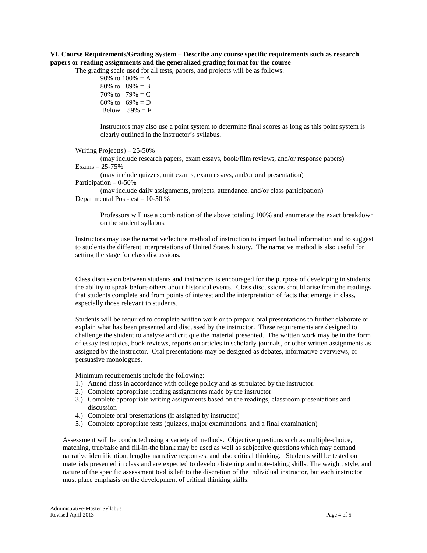### **VI. Course Requirements/Grading System – Describe any course specific requirements such as research papers or reading assignments and the generalized grading format for the course**

The grading scale used for all tests, papers, and projects will be as follows:

90% to  $100% = A$ 80% to  $89% = B$ 70% to  $79% = C$ 60% to  $69\% = D$ Below  $59\% = F$ 

Instructors may also use a point system to determine final scores as long as this point system is clearly outlined in the instructor's syllabus.

#### Writing Project(s)  $-25-50\%$

(may include research papers, exam essays, book/film reviews, and/or response papers) Exams – 25-75%

(may include quizzes, unit exams, exam essays, and/or oral presentation) Participation – 0-50%

(may include daily assignments, projects, attendance, and/or class participation) Departmental Post-test – 10-50 %

Professors will use a combination of the above totaling 100% and enumerate the exact breakdown on the student syllabus.

Instructors may use the narrative/lecture method of instruction to impart factual information and to suggest to students the different interpretations of United States history. The narrative method is also useful for setting the stage for class discussions.

Class discussion between students and instructors is encouraged for the purpose of developing in students the ability to speak before others about historical events. Class discussions should arise from the readings that students complete and from points of interest and the interpretation of facts that emerge in class, especially those relevant to students.

Students will be required to complete written work or to prepare oral presentations to further elaborate or explain what has been presented and discussed by the instructor. These requirements are designed to challenge the student to analyze and critique the material presented. The written work may be in the form of essay test topics, book reviews, reports on articles in scholarly journals, or other written assignments as assigned by the instructor. Oral presentations may be designed as debates, informative overviews, or persuasive monologues.

Minimum requirements include the following:

- 1.) Attend class in accordance with college policy and as stipulated by the instructor.
- 2.) Complete appropriate reading assignments made by the instructor
- 3.) Complete appropriate writing assignments based on the readings, classroom presentations and discussion
- 4.) Complete oral presentations (if assigned by instructor)
- 5.) Complete appropriate tests (quizzes, major examinations, and a final examination)

Assessment will be conducted using a variety of methods. Objective questions such as multiple-choice, matching, true/false and fill-in-the blank may be used as well as subjective questions which may demand narrative identification, lengthy narrative responses, and also critical thinking. Students will be tested on materials presented in class and are expected to develop listening and note-taking skills. The weight, style, and nature of the specific assessment tool is left to the discretion of the individual instructor, but each instructor must place emphasis on the development of critical thinking skills.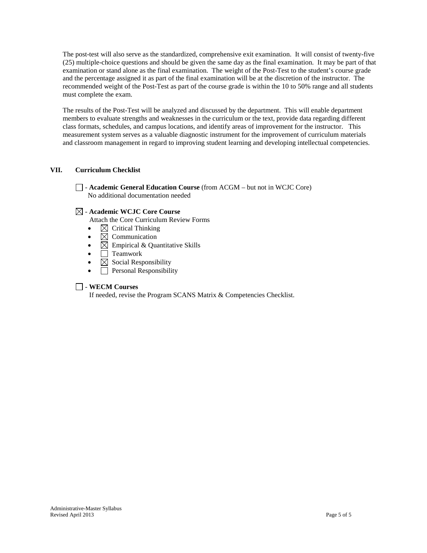The post-test will also serve as the standardized, comprehensive exit examination. It will consist of twenty-five (25) multiple-choice questions and should be given the same day as the final examination. It may be part of that examination or stand alone as the final examination. The weight of the Post-Test to the student's course grade and the percentage assigned it as part of the final examination will be at the discretion of the instructor. The recommended weight of the Post-Test as part of the course grade is within the 10 to 50% range and all students must complete the exam.

The results of the Post-Test will be analyzed and discussed by the department. This will enable department members to evaluate strengths and weaknesses in the curriculum or the text, provide data regarding different class formats, schedules, and campus locations, and identify areas of improvement for the instructor. This measurement system serves as a valuable diagnostic instrument for the improvement of curriculum materials and classroom management in regard to improving student learning and developing intellectual competencies.

### **VII. Curriculum Checklist**

- **Academic General Education Course** (from ACGM – but not in WCJC Core) No additional documentation needed

### - **Academic WCJC Core Course**

Attach the Core Curriculum Review Forms

- $\boxtimes$  Critical Thinking
- $\boxtimes$  Communication
- $\boxtimes$  Empirical & Quantitative Skills
- $\bullet$   $\Box$  Teamwork
- $\boxtimes$  Social Responsibility
- Personal Responsibility

### - **WECM Courses**

If needed, revise the Program SCANS Matrix & Competencies Checklist.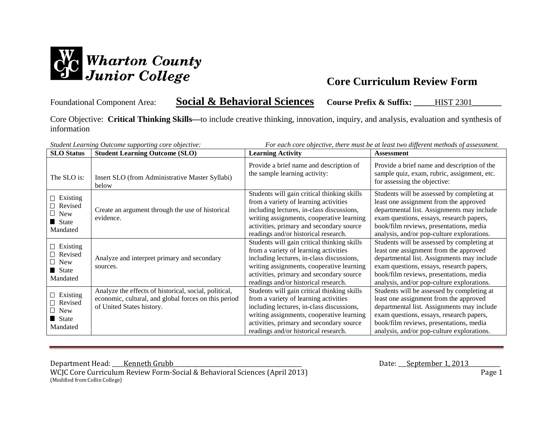

# Foundational Component Area: **Social & Behavioral Sciences Course Prefix & Suffix: \_\_\_\_\_**HIST 2301**\_\_\_\_\_\_\_**

Core Objective: **Critical Thinking Skills—**to include creative thinking, innovation, inquiry, and analysis, evaluation and synthesis of information

| <b>SLO</b> Status                                                    | <b>Student Learning Outcome (SLO)</b>                                                                                                      | <b>Learning Activity</b>                                                                                                                                                                                                                                           | <b>Assessment</b>                                                                                                                                                                                                                                                       |
|----------------------------------------------------------------------|--------------------------------------------------------------------------------------------------------------------------------------------|--------------------------------------------------------------------------------------------------------------------------------------------------------------------------------------------------------------------------------------------------------------------|-------------------------------------------------------------------------------------------------------------------------------------------------------------------------------------------------------------------------------------------------------------------------|
| The SLO is:                                                          | Insert SLO (from Administrative Master Syllabi)<br>below                                                                                   | Provide a brief name and description of<br>the sample learning activity:                                                                                                                                                                                           | Provide a brief name and description of the<br>sample quiz, exam, rubric, assignment, etc.<br>for assessing the objective:                                                                                                                                              |
| $\Box$ Existing<br>$\Box$ Revised<br>$\Box$ New<br>State<br>Mandated | Create an argument through the use of historical<br>evidence.                                                                              | Students will gain critical thinking skills<br>from a variety of learning activities<br>including lectures, in-class discussions,<br>writing assignments, cooperative learning<br>activities, primary and secondary source<br>readings and/or historical research. | Students will be assessed by completing at<br>least one assignment from the approved<br>departmental list. Assignments may include<br>exam questions, essays, research papers,<br>book/film reviews, presentations, media<br>analysis, and/or pop-culture explorations. |
| $\Box$ Existing<br>$\Box$ Revised<br>$\Box$ New<br>State<br>Mandated | Analyze and interpret primary and secondary<br>sources.                                                                                    | Students will gain critical thinking skills<br>from a variety of learning activities<br>including lectures, in-class discussions,<br>writing assignments, cooperative learning<br>activities, primary and secondary source<br>readings and/or historical research. | Students will be assessed by completing at<br>least one assignment from the approved<br>departmental list. Assignments may include<br>exam questions, essays, research papers,<br>book/film reviews, presentations, media<br>analysis, and/or pop-culture explorations. |
| $\Box$ Existing<br>$\Box$ Revised<br>$\Box$ New<br>State<br>Mandated | Analyze the effects of historical, social, political,<br>economic, cultural, and global forces on this period<br>of United States history. | Students will gain critical thinking skills<br>from a variety of learning activities<br>including lectures, in-class discussions,<br>writing assignments, cooperative learning<br>activities, primary and secondary source<br>readings and/or historical research. | Students will be assessed by completing at<br>least one assignment from the approved<br>departmental list. Assignments may include<br>exam questions, essays, research papers,<br>book/film reviews, presentations, media<br>analysis, and/or pop-culture explorations. |

*Student Learning Outcome supporting core objective: For each core objective, there must be at least two different methods of assessment.*

Department Head: <u>Kenneth Grubb</u><br>WCJC Core Curriculum Review Form-Social & Behavioral Sciences (April 2013) Date: September 1, 2013 WCJC Core Curriculum Review Form-Social & Behavioral Sciences (April 2013) (Modified from Collin College)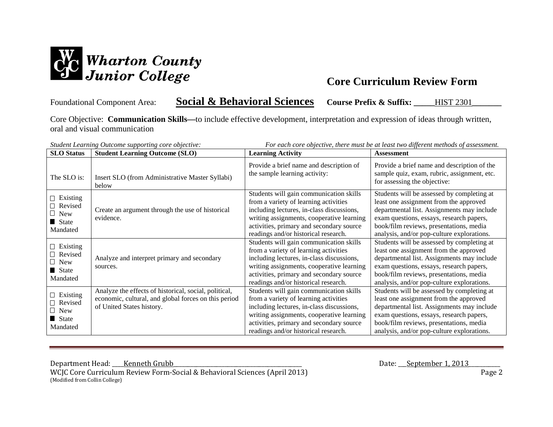

# Foundational Component Area: **Social & Behavioral Sciences Course Prefix & Suffix: \_\_\_\_\_**HIST 2301**\_\_\_\_\_\_\_**

Core Objective: **Communication Skills—**to include effective development, interpretation and expression of ideas through written, oral and visual communication

| <b>SLO</b> Status                                                    | student Learning Outcome supporting core objective.<br><b>Student Learning Outcome (SLO)</b>                                               | <b>Learning Activity</b>                                                                                                                                                                                                                                       | For each core objective, there must be at least two afflerent memous of assessment.<br><b>Assessment</b>                                                                                                                                                                |
|----------------------------------------------------------------------|--------------------------------------------------------------------------------------------------------------------------------------------|----------------------------------------------------------------------------------------------------------------------------------------------------------------------------------------------------------------------------------------------------------------|-------------------------------------------------------------------------------------------------------------------------------------------------------------------------------------------------------------------------------------------------------------------------|
| The SLO is:                                                          | Insert SLO (from Administrative Master Syllabi)<br>below                                                                                   | Provide a brief name and description of<br>the sample learning activity:                                                                                                                                                                                       | Provide a brief name and description of the<br>sample quiz, exam, rubric, assignment, etc.<br>for assessing the objective:                                                                                                                                              |
| $\Box$ Existing<br>$\Box$ Revised<br>$\Box$ New<br>State<br>Mandated | Create an argument through the use of historical<br>evidence.                                                                              | Students will gain communication skills<br>from a variety of learning activities<br>including lectures, in-class discussions,<br>writing assignments, cooperative learning<br>activities, primary and secondary source<br>readings and/or historical research. | Students will be assessed by completing at<br>least one assignment from the approved<br>departmental list. Assignments may include<br>exam questions, essays, research papers,<br>book/film reviews, presentations, media<br>analysis, and/or pop-culture explorations. |
| $\Box$ Existing<br>$\Box$ Revised<br>$\Box$ New<br>State<br>Mandated | Analyze and interpret primary and secondary<br>sources.                                                                                    | Students will gain communication skills<br>from a variety of learning activities<br>including lectures, in-class discussions,<br>writing assignments, cooperative learning<br>activities, primary and secondary source<br>readings and/or historical research. | Students will be assessed by completing at<br>least one assignment from the approved<br>departmental list. Assignments may include<br>exam questions, essays, research papers,<br>book/film reviews, presentations, media<br>analysis, and/or pop-culture explorations. |
| $\Box$ Existing<br>$\Box$ Revised<br>$\Box$ New<br>State<br>Mandated | Analyze the effects of historical, social, political,<br>economic, cultural, and global forces on this period<br>of United States history. | Students will gain communication skills<br>from a variety of learning activities<br>including lectures, in-class discussions,<br>writing assignments, cooperative learning<br>activities, primary and secondary source<br>readings and/or historical research. | Students will be assessed by completing at<br>least one assignment from the approved<br>departmental list. Assignments may include<br>exam questions, essays, research papers,<br>book/film reviews, presentations, media<br>analysis, and/or pop-culture explorations. |

*Student Learning Outcome supporting core objective: For each core objective, there must be at least two different methods of assessment.*

Department Head: <u>Kenneth Grubb</u><br>WCJC Core Curriculum Review Form-Social & Behavioral Sciences (April 2013) Date: September 1, 2013 WCJC Core Curriculum Review Form-Social & Behavioral Sciences (April 2013) (Modified from Collin College)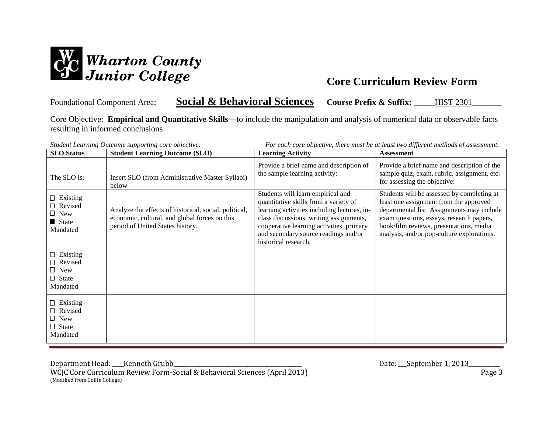

# Foundational Component Area: **Social & Behavioral Sciences Course Prefix & Suffix: \_\_\_\_\_**HIST 2301**\_\_\_\_\_\_\_**

Core Objective: **Empirical and Quantitative Skills—**to include the manipulation and analysis of numerical data or observable facts resulting in informed conclusions

| <b>SLO</b> Status                                                    | Student Learning Outcome supporting core objective:<br><b>Student Learning Outcome (SLO)</b>                                               | <b>Learning Activity</b>                                                                                                                                                                                                                                                         | For each core objective, there must be at least two alfferent methods of assessment.<br><b>Assessment</b>                                                                                                                                                               |
|----------------------------------------------------------------------|--------------------------------------------------------------------------------------------------------------------------------------------|----------------------------------------------------------------------------------------------------------------------------------------------------------------------------------------------------------------------------------------------------------------------------------|-------------------------------------------------------------------------------------------------------------------------------------------------------------------------------------------------------------------------------------------------------------------------|
| The SLO is:                                                          | Insert SLO (from Administrative Master Syllabi)<br>below                                                                                   | Provide a brief name and description of<br>the sample learning activity:                                                                                                                                                                                                         | Provide a brief name and description of the<br>sample quiz, exam, rubric, assignment, etc.<br>for assessing the objective:                                                                                                                                              |
| $\Box$ Existing<br>$\Box$ Revised<br>$\Box$ New<br>State<br>Mandated | Analyze the effects of historical, social, political,<br>economic, cultural, and global forces on this<br>period of United States history. | Students will learn empirical and<br>quantitative skills from a variety of<br>learning activities including lectures, in-<br>class discussions, writing assignments,<br>cooperative learning activities, primary<br>and secondary source readings and/or<br>historical research. | Students will be assessed by completing at<br>least one assignment from the approved<br>departmental list. Assignments may include<br>exam questions, essays, research papers,<br>book/film reviews, presentations, media<br>analysis, and/or pop-culture explorations. |
| $\Box$ Existing<br>Revised<br>New<br>$\Box$ State<br>Mandated        |                                                                                                                                            |                                                                                                                                                                                                                                                                                  |                                                                                                                                                                                                                                                                         |
| $\Box$ Existing<br>Revised<br>$\Box$ New<br>$\Box$ State<br>Mandated |                                                                                                                                            |                                                                                                                                                                                                                                                                                  |                                                                                                                                                                                                                                                                         |

*Student Learning Outcome supporting core objective: For each core objective, there must be at least two different methods of assessment.*

Department Head: <u>Kenneth Grubb</u><br>WCJC Core Curriculum Review Form-Social & Behavioral Sciences (April 2013) Date: September 1, 2013 Page 3

WCJC Core Curriculum Review Form-Social & Behavioral Sciences (April 2013) (Modified from Collin College)